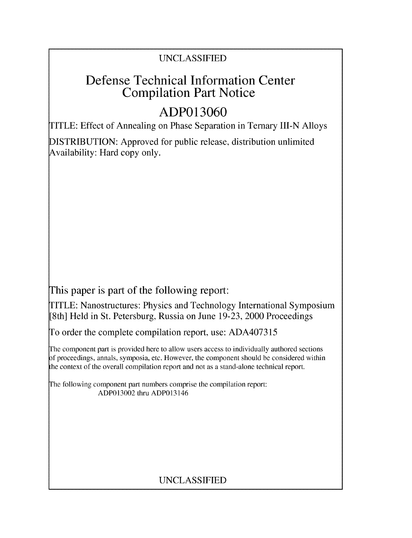### UNCLASSIFIED

## Defense Technical Information Center Compilation Part Notice

# **ADP013060**

TITLE: Effect of Annealing on Phase Separation in Ternary III-N Alloys

DISTRIBUTION: Approved for public release, distribution unlimited Availability: Hard copy only.

This paper is part of the following report:

TITLE: Nanostructures: Physics and Technology International Symposium [8th] Held in St. Petersburg, Russia on June 19-23, 2000 Proceedings

To order the complete compilation report, use: ADA407315

The component part is provided here to allow users access to individually authored sections f proceedings, annals, symposia, etc. However, the component should be considered within the context of the overall compilation report and not as a stand-alone technical report.

The following component part numbers comprise the compilation report: ADP013002 thru ADP013146

### UNCLASSIFIED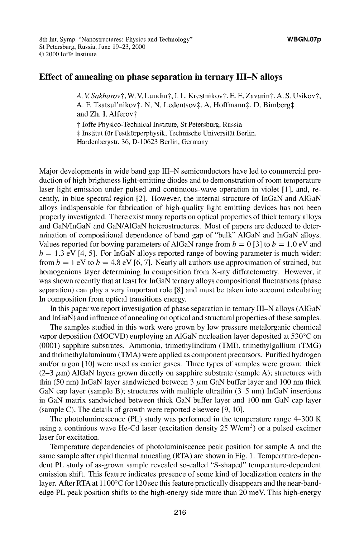### Effect of annealing on phase separation in ternary **III-N** alloys

A. V. Sakharov†, W. V. Lundin†, I. L. Krestnikov†, E. E. Zavarin†, A. S. Usikov†, A. F. Tsatsul'nikov†, N. N. Ledentsov‡, A. Hoffmann‡, D. Bimberg‡. and Zh. I. Alferov<sup>+</sup>

**T** Joffe Physico-Technical Institute, St Petersburg, Russia  $\ddagger$  Institut für Festkörperphysik, Technische Universität Berlin,

Hardenbergstr. 36, D- 10623 Berlin, Germany

Major developments in wide band gap **I11-N** semiconductors have led to commercial production of high brightness light-emitting diodes and to demonstration of room temperature laser light emission under pulsed and continuous-wave operation in violet **[11,** and, recently, in blue spectral region [21. However, the internal structure of InGaN and A1GaN alloys indispensable for fabrication of high-quality light emitting devices has not been properly investigated. There exist many reports on optical properties of thick ternary alloys and GaN/InGaN and GaN/A1GaN heterostructures. Most of papers are deduced to determination of compositional dependence of band gap of "bulk" A1GaN and InGaN alloys. Values reported for bowing parameters of AlGaN range from  $b = 0$  [3] to  $b = 1.0$  eV and  $b = 1.3$  eV [4, 5]. For InGaN alloys reported range of bowing parameter is much wider: from  $b = 1$  eV to  $b = 4.8$  eV [6, 7]. Nearly all authors use approximation of strained, but homogenious layer determining In composition from X-ray diffractometry. However, it was shown recently that at least for InGaN ternary alloys compositional fluctuations (phase separation) can play a very important role [8] and must be taken into account calculating In composition from optical transitions energy.

In this paper we report investigation of phase separation in ternary **I11-N** alloys (A1GaN and InGaN) and influence of annealing on optical and structural properties of these samples.

The samples studied in this work were grown by low pressure metalorganic chemical vapor deposition (MOCVD) employing an A1GaN nucleation layer deposited at 530'C on (0001) sapphire substrates. Ammonia, trimethylindium (TMI), trimethylgallium (TMG) and thrimethylaluminum (TMA) were applied as component precursors. Purified hydrogen and/or argon [10] were used as carrier gases. Three types of samples were grown: thick  $(2-3 \mu m)$  AlGaN layers grown directly on sapphire substrate (sample A); structures with thin (50 nm) InGaN layer sandwiched between 3  $\mu$ m GaN buffer layer and 100 nm thick GaN cap layer (sample B); structures with multiple ultrathin (3–5 nm) InGaN insertions in GaN matrix sandwiched between thick GaN buffer layer and 100 nm GaN cap layer (sample C). The details of growth were reported elsewere [9, 10].

The photoluminescence (PL) study was performed in the temperature range 4-300 K using a continious wave He-Cd laser (excitation density 25 W/cm<sup>2</sup>) or a pulsed excimer laser for excitation.

Temperature dependencies of photoluminiscence peak position for sample A and the same sample after rapid thermal annealing (RTA) are shown in Fig. 1. Temperature-dependent PL study of as-grown sample revealed so-called "S-shaped" temperature-dependent emission shift. This feature indicates presence of some kind of localization centers in the layer. After RTA at  $1100^{\circ}$ C for 120 sec this feature practically disappears and the near-bandedge PL peak position shifts to the high-energy side more than 20 meV. This high-energy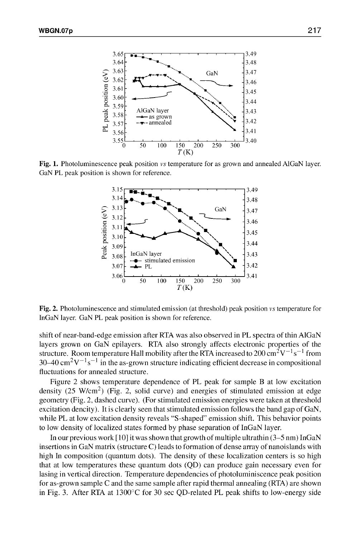

Fig. 1. Photoluminescence peak position vs temperature for as grown and annealed AlGaN layer. GaN PL peak position is shown for reference.



Fig. 2. Photoluminescence and stimulated emission (at threshold) peak position vs temperature for InGaN layer. GaN PL peak position is shown for reference.

shift of near-band-edge emission after RTA was also observed in PL spectra of thin AIGaN layers grown on GaN epilayers. RTA also strongly affects electronic properties of the structure. Room temperature Hall mobility after the RTA increased to  $200 \text{ cm}^2 \text{V}^{-1} \text{s}^{-1}$  from  $30-40 \text{ cm}^2 \text{V}^{-1} \text{s}^{-1}$  in the as-grown structure indicating efficient decrease in compositional fluctuations for annealed structure.

Figure 2 shows temperature dependence of PL peak for sample B at low excitation density  $(25 \text{ W/cm}^2)$  (Fig. 2, solid curve) and energies of stimulated emission at edge geometry (Fig. 2, dashed curve). (For stimulated emission energies were taken at threshold excitation dencity). It is clearly seen that stimulated emission follows the band gap of GaN, while PL at low excitation density reveals "S-shaped" emission shift. This behavior points to low density of localized states formed by phase separation of InGaN layer.

In our previous work [10] it was shown that growth of multiple ultrathin (3–5 nm) InGaN insertions in GaN matrix (structure C) leads to formation of dense array of nanoislands with high In composition (quantum dots). The density of these localization centers is so high that at low temperatures these quantum dots (QD) can produce gain necessary even for lasing in vertical direction. Temperature dependencies of photoluminiscence peak position for as-grown sample C and the same sample after rapid thermal annealing (RTA) are shown in Fig. 3. After RTA at 1300°C for 30 sec QD-related PL peak shifts to low-energy side